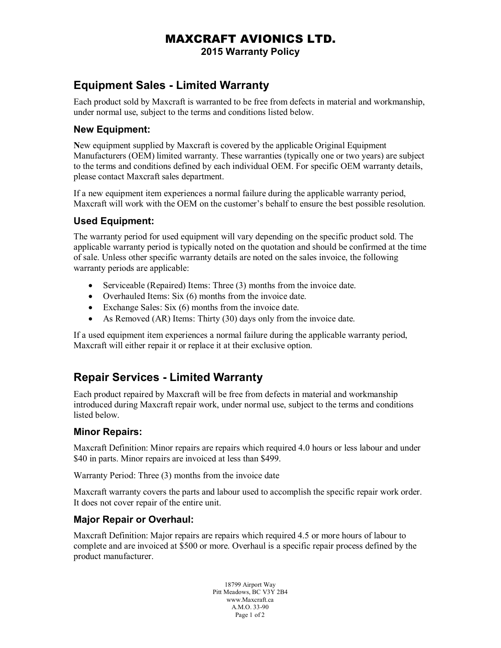# MAXCRAFT AVIONICS LTD.

**2015 Warranty Policy** 

## **Equipment Sales - Limited Warranty**

Each product sold by Maxcraft is warranted to be free from defects in material and workmanship, under normal use, subject to the terms and conditions listed below.

#### **New Equipment:**

**N**ew equipment supplied by Maxcraft is covered by the applicable Original Equipment Manufacturers (OEM) limited warranty. These warranties (typically one or two years) are subject to the terms and conditions defined by each individual OEM. For specific OEM warranty details, please contact Maxcraft sales department.

If a new equipment item experiences a normal failure during the applicable warranty period, Maxcraft will work with the OEM on the customer's behalf to ensure the best possible resolution.

#### **Used Equipment:**

The warranty period for used equipment will vary depending on the specific product sold. The applicable warranty period is typically noted on the quotation and should be confirmed at the time of sale. Unless other specific warranty details are noted on the sales invoice, the following warranty periods are applicable:

- Serviceable (Repaired) Items: Three (3) months from the invoice date.
- Overhauled Items: Six (6) months from the invoice date.
- Exchange Sales: Six (6) months from the invoice date.
- As Removed (AR) Items: Thirty (30) days only from the invoice date.

If a used equipment item experiences a normal failure during the applicable warranty period, Maxcraft will either repair it or replace it at their exclusive option.

## **Repair Services - Limited Warranty**

Each product repaired by Maxcraft will be free from defects in material and workmanship introduced during Maxcraft repair work, under normal use, subject to the terms and conditions listed below.

#### **Minor Repairs:**

Maxcraft Definition: Minor repairs are repairs which required 4.0 hours or less labour and under \$40 in parts. Minor repairs are invoiced at less than \$499.

Warranty Period: Three (3) months from the invoice date

Maxcraft warranty covers the parts and labour used to accomplish the specific repair work order. It does not cover repair of the entire unit.

#### **Major Repair or Overhaul:**

Maxcraft Definition: Major repairs are repairs which required 4.5 or more hours of labour to complete and are invoiced at \$500 or more. Overhaul is a specific repair process defined by the product manufacturer.

> 18799 Airport Way Pitt Meadows, BC V3Y 2B4 www.Maxcraft.ca A.M.O. 33-90 Page 1 of 2